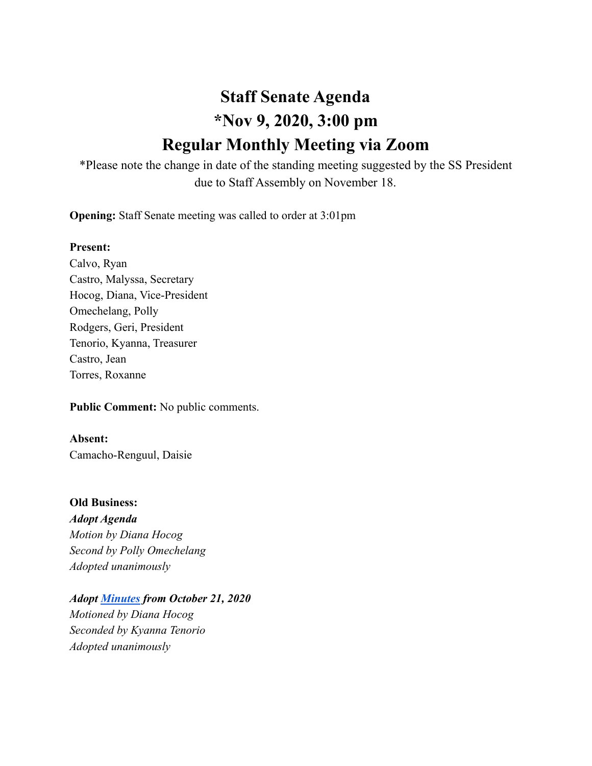# **Staff Senate Agenda \*Nov 9, 2020, 3:00 pm Regular Monthly Meeting via Zoom**

\*Please note the change in date of the standing meeting suggested by the SS President due to Staff Assembly on November 18.

**Opening:** Staff Senate meeting was called to order at 3:01pm

# **Present:**

Calvo, Ryan Castro, Malyssa, Secretary Hocog, Diana, Vice-President Omechelang, Polly Rodgers, Geri, President Tenorio, Kyanna, Treasurer Castro, Jean Torres, Roxanne

**Public Comment:** No public comments.

**Absent:** Camacho-Renguul, Daisie

**Old Business:** *Adopt Agenda Motion by Diana Hocog Second by Polly Omechelang Adopted unanimously*

*Adopt [Minutes](https://docs.google.com/document/d/1PHrKO-d8UTSNMnZnytYb5rZZAR5yUVQYokMpLQJ2YLg/edit?usp=sharing) from October 21, 2020 Motioned by Diana Hocog Seconded by Kyanna Tenorio Adopted unanimously*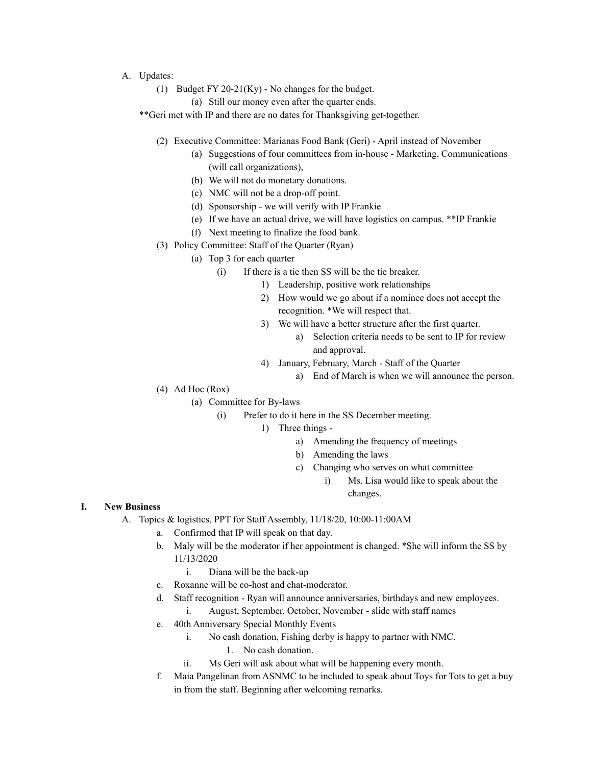- A. Updates:
	- (1) Budget FY 20-21(Ky) No changes for the budget.
		- (a) Still our money even after the quarter ends.

\*\*Geri met with IP and there are no dates for Thanksgiving get-together.

- (2) Executive Committee: Marianas Food Bank (Geri) April instead of November
	- (a) Suggestions of four committees from in-house Marketing, Communications (will call organizations),
	- (b) We will not do monetary donations.
	- (c) NMC will not be a drop-off point.
	- (d) Sponsorship we will verify with IP Frankie
	- (e) If we have an actual drive, we will have logistics on campus. \*\*IP Frankie
	- (f) Next meeting to finalize the food bank.
- (3) Policy Committee: Staff of the Quarter (Ryan)
	- (a) Top 3 for each quarter
		- (i) If there is a tie then SS will be the tie breaker.
			- 1) Leadership, positive work relationships
			- 2) How would we go about if a nominee does not accept the recognition. \*We will respect that.
			- 3) We will have a better structure after the first quarter.
				- a) Selection criteria needs to be sent to IP for review and approval.
			- 4) January, February, March Staff of the Quarter
				- a) End of March is when we will announce the person.
- $(4)$  Ad Hoc (Rox)
	- (a) Committee for By-laws
		- (i) Prefer to do it here in the SS December meeting.
			- 1) Three things
				- a) Amending the frequency of meetings
				- b) Amending the laws
				- c) Changing who serves on what committee
					- i) Ms. Lisa would like to speak about the changes.

#### **I. New Business**

- A. Topics & logistics, PPT for Staff Assembly, 11/18/20, 10:00-11:00AM
	- a. Confirmed that IP will speak on that day.
	- b. Maly will be the moderator if her appointment is changed. \*She will inform the SS by 11/13/2020
		- i. Diana will be the back-up
	- c. Roxanne will be co-host and chat-moderator.
	- d. Staff recognition Ryan will announce anniversaries, birthdays and new employees.
		- i. August, September, October, November slide with staff names
	- e. 40th Anniversary Special Monthly Events
		- i. No cash donation, Fishing derby is happy to partner with NMC.
			- 1. No cash donation.
		- ii. Ms Geri will ask about what will be happening every month.
	- f. Maia Pangelinan from ASNMC to be included to speak about Toys for Tots to get a buy in from the staff. Beginning after welcoming remarks.